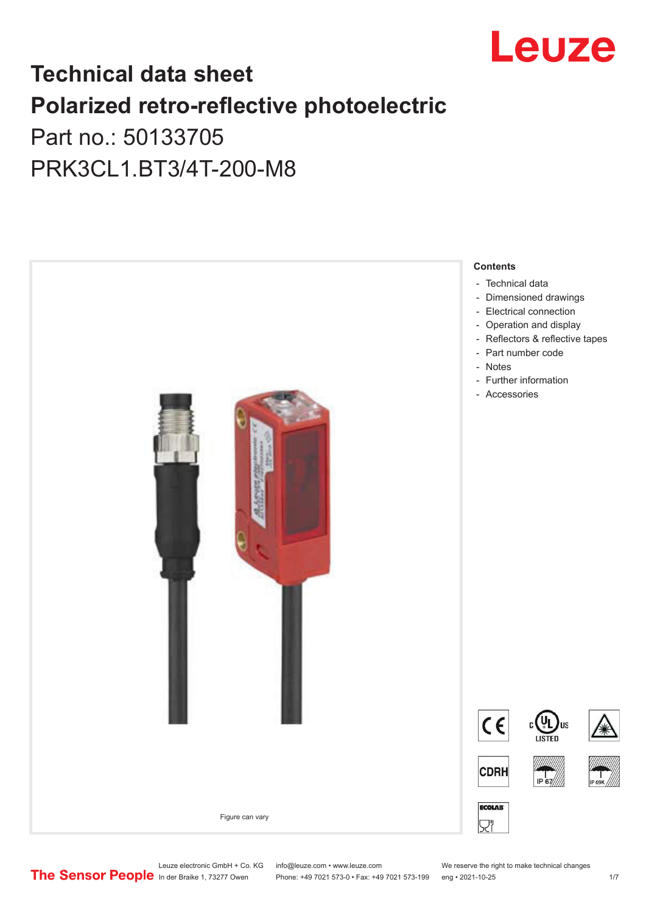

# **Technical data sheet Polarized retro-reflective photoelectric**

Part no.: 50133705 PRK3CL1.BT3/4T-200-M8



Leuze electronic GmbH + Co. KG info@leuze.com • www.leuze.com We reserve the right to make technical changes<br>
The Sensor People in der Braike 1, 73277 Owen Phone: +49 7021 573-0 • Fax: +49 7021 573-199 eng • 2021-10-25

Phone: +49 7021 573-0 • Fax: +49 7021 573-199 eng • 2021-10-25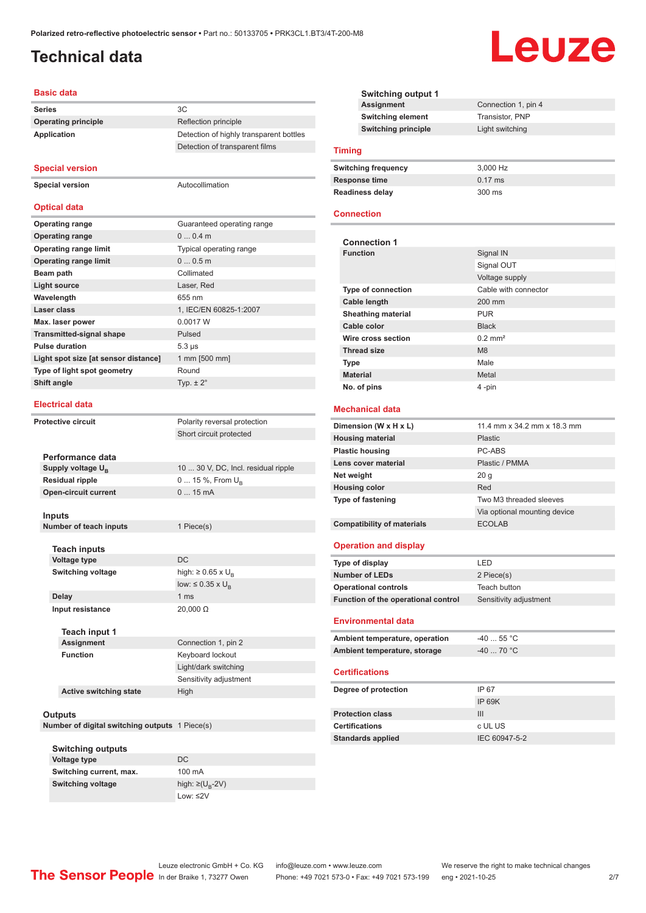## <span id="page-1-0"></span>**Technical data**

#### **Basic data**

**Series** 3C **Operatin Applicat** 

| <b>Operating principle</b>                      | Reflection principle                           |  |
|-------------------------------------------------|------------------------------------------------|--|
| Application                                     | Detection of highly transparent bottles        |  |
|                                                 | Detection of transparent films                 |  |
|                                                 |                                                |  |
| <b>Special version</b>                          |                                                |  |
| <b>Special version</b>                          | Autocollimation                                |  |
|                                                 |                                                |  |
| <b>Optical data</b>                             |                                                |  |
| <b>Operating range</b>                          | Guaranteed operating range                     |  |
| <b>Operating range</b>                          | 00.4m                                          |  |
| <b>Operating range limit</b>                    | Typical operating range                        |  |
| <b>Operating range limit</b>                    | 00.5m                                          |  |
| Beam path                                       | Collimated                                     |  |
| <b>Light source</b>                             | Laser, Red                                     |  |
| Wavelength                                      | 655 nm                                         |  |
| Laser class                                     | 1, IEC/EN 60825-1:2007                         |  |
| Max. laser power                                | 0.0017 W                                       |  |
| <b>Transmitted-signal shape</b>                 | Pulsed                                         |  |
| <b>Pulse duration</b>                           | $5.3 \,\mu s$                                  |  |
| Light spot size [at sensor distance]            | 1 mm [500 mm]                                  |  |
| Type of light spot geometry                     | Round                                          |  |
| Shift angle                                     | Typ. $\pm 2^{\circ}$                           |  |
|                                                 |                                                |  |
| <b>Electrical data</b>                          |                                                |  |
| <b>Protective circuit</b>                       | Polarity reversal protection                   |  |
|                                                 | Short circuit protected                        |  |
|                                                 |                                                |  |
| Performance data                                |                                                |  |
|                                                 |                                                |  |
| Supply voltage U <sub>B</sub>                   | 10  30 V, DC, Incl. residual ripple            |  |
| <b>Residual ripple</b>                          | 0  15 %, From U <sub>B</sub>                   |  |
| <b>Open-circuit current</b>                     | 015mA                                          |  |
|                                                 |                                                |  |
| Inputs                                          |                                                |  |
| Number of teach inputs                          | 1 Piece(s)                                     |  |
|                                                 |                                                |  |
| <b>Teach inputs</b>                             | DC                                             |  |
| <b>Voltage type</b><br><b>Switching voltage</b> |                                                |  |
|                                                 | high: $\geq 0.65$ x U <sub>B</sub>             |  |
| <b>Delay</b>                                    | low: $\leq 0.35 \times U_R$<br>1 <sub>ms</sub> |  |
| Input resistance                                | 20,000 Ω                                       |  |
|                                                 |                                                |  |

**Assignment** Connection 1, pin 2 **Function** Keyboard lockout Light/dark switching Sensitivity adjustment **Active switching state** High

#### **Outputs**

**Number of digital switching outputs** 1 Piece(s)

| <b>Switching outputs</b> |                              |
|--------------------------|------------------------------|
| Voltage type             | DC.                          |
| Switching current, max.  | 100 mA                       |
| <b>Switching voltage</b> | high: $\geq$ (U <sub>n</sub> |
|                          | $1$ $0M·$ < 2 V              |

 $U_B$ -2V) Low: ≤2V

**Switching output 1 Connection 1, pin 4 Switching element** Transistor, PNP **Switching principle** Light switching

#### **Timing**

| Switching frequency    | 3.000 Hz          |
|------------------------|-------------------|
| Response time          | $0.17 \text{ ms}$ |
| <b>Readiness delay</b> | $300 \text{ ms}$  |

#### **Connection**

i.

| <b>Connection 1</b>               |                              |  |
|-----------------------------------|------------------------------|--|
| <b>Function</b>                   | Signal IN                    |  |
|                                   | Signal OUT                   |  |
|                                   | Voltage supply               |  |
| <b>Type of connection</b>         | Cable with connector         |  |
| Cable length                      | 200 mm                       |  |
| <b>Sheathing material</b>         | <b>PUR</b>                   |  |
| Cable color                       | <b>Black</b>                 |  |
| Wire cross section                | $0.2$ mm <sup>2</sup>        |  |
| <b>Thread size</b>                | M8                           |  |
| <b>Type</b>                       | Male                         |  |
| <b>Material</b>                   | Metal                        |  |
| No. of pins                       | 4-pin                        |  |
|                                   |                              |  |
|                                   |                              |  |
| <b>Mechanical data</b>            |                              |  |
| Dimension (W x H x L)             | 11.4 mm x 34.2 mm x 18.3 mm  |  |
| <b>Housing material</b>           | Plastic                      |  |
| <b>Plastic housing</b>            | PC-ARS                       |  |
| Lens cover material               | Plastic / PMMA               |  |
| Net weight                        | 20 <sub>g</sub>              |  |
| <b>Housing color</b>              | Red                          |  |
| Type of fastening                 | Two M3 threaded sleeves      |  |
|                                   | Via optional mounting device |  |
| <b>Compatibility of materials</b> | <b>ECOLAB</b>                |  |
|                                   |                              |  |
| <b>Operation and display</b>      |                              |  |
| Type of display                   | LED                          |  |

| iyyo or aloplay                     | ---                    |
|-------------------------------------|------------------------|
| <b>Number of LEDs</b>               | 2 Piece(s)             |
| <b>Operational controls</b>         | Teach button           |
| Function of the operational control | Sensitivity adjustment |
|                                     |                        |

#### **Environmental data**

| Ambient temperature, operation | -40  55 °C                       |
|--------------------------------|----------------------------------|
| Ambient temperature, storage   | $-40$ 70 $^{\circ}$ C $^{\circ}$ |

#### **Certifications**

| Degree of protection     | IP 67         |
|--------------------------|---------------|
|                          | IP 69K        |
| <b>Protection class</b>  | Ш             |
| <b>Certifications</b>    | c UL US       |
| <b>Standards applied</b> | IEC 60947-5-2 |
|                          |               |

# Leuze

Leuze electronic GmbH + Co. KG info@leuze.com • www.leuze.com We reserve the right to make technical changes<br>
The Sensor People in der Braike 1, 73277 Owen Phone: +49 7021 573-0 • Fax: +49 7021 573-199 eng • 2021-10-25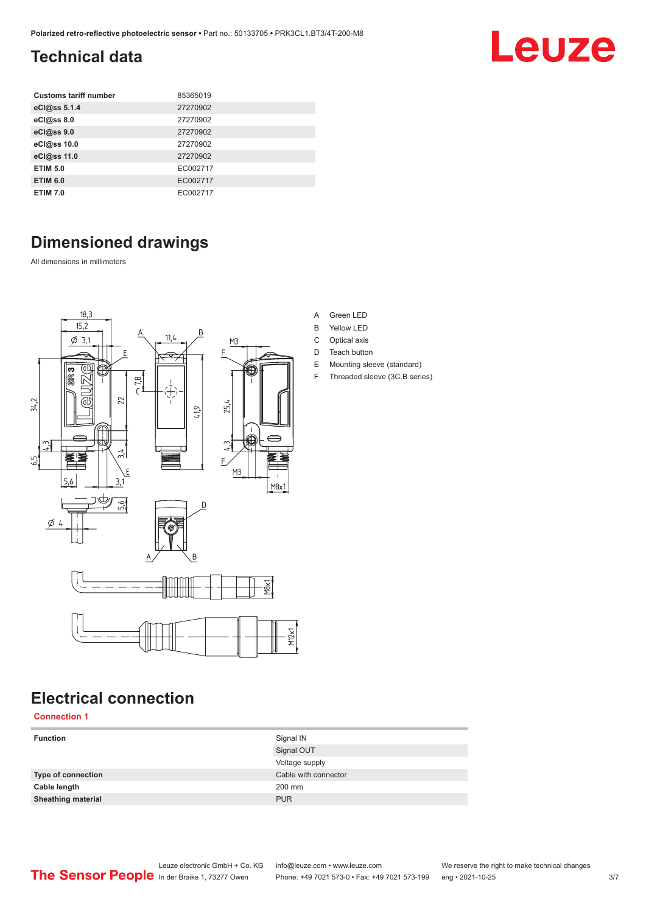# <span id="page-2-0"></span>**Technical data**

| <b>Customs tariff number</b> | 85365019 |
|------------------------------|----------|
| eCl@ss 5.1.4                 | 27270902 |
| eCl@ss 8.0                   | 27270902 |
| eCl@ss 9.0                   | 27270902 |
| eCl@ss 10.0                  | 27270902 |
| eCl@ss 11.0                  | 27270902 |
| <b>ETIM 5.0</b>              | EC002717 |
| <b>ETIM 6.0</b>              | EC002717 |
| <b>ETIM 7.0</b>              | EC002717 |

# **Dimensioned drawings**

All dimensions in millimeters



# **Electrical connection**

**Connection 1**

| <b>Function</b>           | Signal IN            |
|---------------------------|----------------------|
|                           | Signal OUT           |
|                           | Voltage supply       |
| Type of connection        | Cable with connector |
| Cable length              | 200 mm               |
| <b>Sheathing material</b> | <b>PUR</b>           |
|                           |                      |

#### A Green LED

- B Yellow LED
- C Optical axis
- D Teach button
- E Mounting sleeve (standard)
- F Threaded sleeve (3C.B series)

Leuze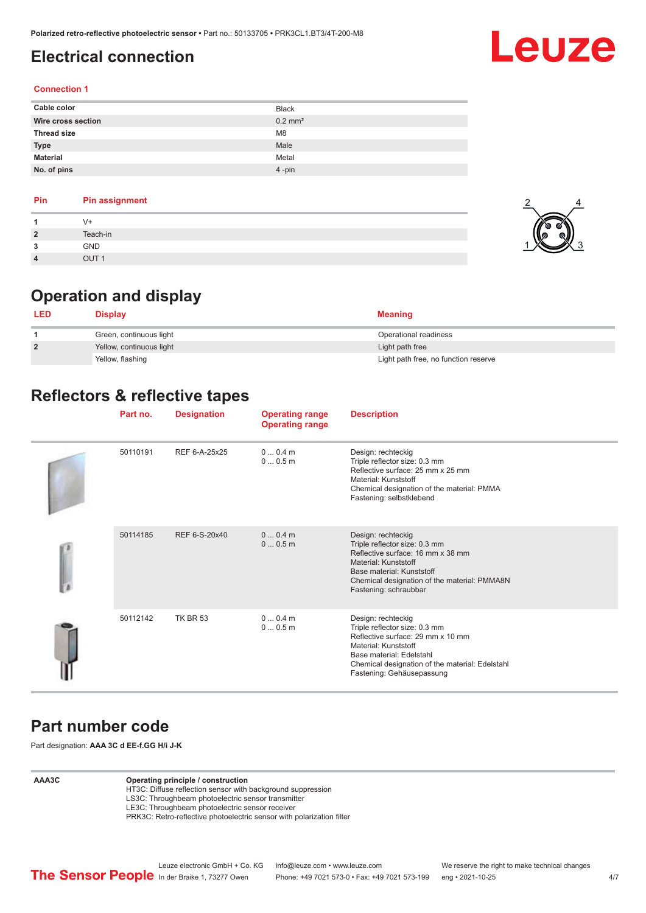# <span id="page-3-0"></span>**Electrical connection**

# Leuze

2

 $1$   $\times$  3

4

#### **Connection 1**

| Cable color        | <b>Black</b>          |
|--------------------|-----------------------|
| Wire cross section | $0.2$ mm <sup>2</sup> |
| <b>Thread size</b> | M <sub>8</sub>        |
| <b>Type</b>        | Male                  |
| <b>Material</b>    | Metal                 |
| No. of pins        | $4$ -pin              |

#### **Pin Pin assignment**

| и              | $V +$        |  |
|----------------|--------------|--|
| $\overline{2}$ | Teach-in     |  |
| 3              | GND          |  |
| $\overline{4}$ | $\bigcap$ IT |  |

# **Operation and display**

| <b>LED</b>     | <b>Display</b>           | <b>Meaning</b>                       |
|----------------|--------------------------|--------------------------------------|
|                | Green, continuous light  | Operational readiness                |
| $\overline{2}$ | Yellow, continuous light | Light path free                      |
|                | Yellow, flashing         | Light path free, no function reserve |

## **Reflectors & reflective tapes**

| Part no. | <b>Designation</b> | <b>Operating range</b><br><b>Operating range</b> | <b>Description</b>                                                                                                                                                                                                           |
|----------|--------------------|--------------------------------------------------|------------------------------------------------------------------------------------------------------------------------------------------------------------------------------------------------------------------------------|
| 50110191 | REF 6-A-25x25      | $00.4$ m<br>00.5m                                | Design: rechteckig<br>Triple reflector size: 0.3 mm<br>Reflective surface: 25 mm x 25 mm<br>Material: Kunststoff<br>Chemical designation of the material: PMMA<br>Fastening: selbstklebend                                   |
| 50114185 | REF 6-S-20x40      | $00.4$ m<br>00.5m                                | Design: rechteckig<br>Triple reflector size: 0.3 mm<br>Reflective surface: 16 mm x 38 mm<br>Material: Kunststoff<br>Base material: Kunststoff<br>Chemical designation of the material: PMMA8N<br>Fastening: schraubbar       |
| 50112142 | <b>TK BR 53</b>    | 00.4m<br>00.5m                                   | Design: rechteckig<br>Triple reflector size: 0.3 mm<br>Reflective surface: 29 mm x 10 mm<br>Material: Kunststoff<br>Base material: Edelstahl<br>Chemical designation of the material: Edelstahl<br>Fastening: Gehäusepassung |

#### **Part number code**

Part designation: **AAA 3C d EE-f.GG H/i J-K**

#### **AAA3C Operating principle / construction**

HT3C: Diffuse reflection sensor with background suppression LS3C: Throughbeam photoelectric sensor transmitter

LE3C: Throughbeam photoelectric sensor receiver

PRK3C: Retro-reflective photoelectric sensor with polarization filter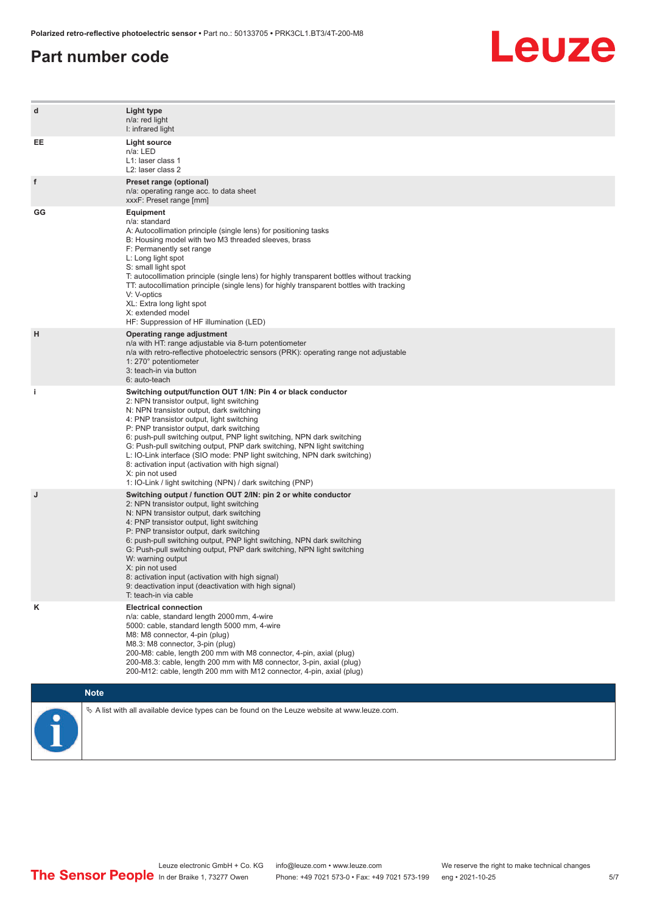#### **Part number code**



| d  | Light type<br>n/a: red light<br>I: infrared light                                                                                                                                                                                                                                                                                                                                                                                                                                                                                                                                                                   |
|----|---------------------------------------------------------------------------------------------------------------------------------------------------------------------------------------------------------------------------------------------------------------------------------------------------------------------------------------------------------------------------------------------------------------------------------------------------------------------------------------------------------------------------------------------------------------------------------------------------------------------|
| EE | <b>Light source</b><br>n/a: LED<br>L1: laser class 1<br>L2: laser class 2                                                                                                                                                                                                                                                                                                                                                                                                                                                                                                                                           |
| f  | Preset range (optional)<br>n/a: operating range acc. to data sheet<br>xxxF: Preset range [mm]                                                                                                                                                                                                                                                                                                                                                                                                                                                                                                                       |
| GG | Equipment<br>n/a: standard<br>A: Autocollimation principle (single lens) for positioning tasks<br>B: Housing model with two M3 threaded sleeves, brass<br>F: Permanently set range<br>L: Long light spot<br>S: small light spot<br>T: autocollimation principle (single lens) for highly transparent bottles without tracking<br>TT: autocollimation principle (single lens) for highly transparent bottles with tracking<br>V: V-optics<br>XL: Extra long light spot<br>X: extended model<br>HF: Suppression of HF illumination (LED)                                                                              |
| н  | Operating range adjustment<br>n/a with HT: range adjustable via 8-turn potentiometer<br>n/a with retro-reflective photoelectric sensors (PRK): operating range not adjustable<br>1: 270° potentiometer<br>3: teach-in via button<br>6: auto-teach                                                                                                                                                                                                                                                                                                                                                                   |
| j. | Switching output/function OUT 1/IN: Pin 4 or black conductor<br>2: NPN transistor output, light switching<br>N: NPN transistor output, dark switching<br>4: PNP transistor output, light switching<br>P: PNP transistor output, dark switching<br>6: push-pull switching output, PNP light switching, NPN dark switching<br>G: Push-pull switching output, PNP dark switching, NPN light switching<br>L: IO-Link interface (SIO mode: PNP light switching, NPN dark switching)<br>8: activation input (activation with high signal)<br>X: pin not used<br>1: IO-Link / light switching (NPN) / dark switching (PNP) |
| J  | Switching output / function OUT 2/IN: pin 2 or white conductor<br>2: NPN transistor output, light switching<br>N: NPN transistor output, dark switching<br>4: PNP transistor output, light switching<br>P: PNP transistor output, dark switching<br>6: push-pull switching output, PNP light switching, NPN dark switching<br>G: Push-pull switching output, PNP dark switching, NPN light switching<br>W: warning output<br>X: pin not used<br>8: activation input (activation with high signal)<br>9: deactivation input (deactivation with high signal)<br>T: teach-in via cable                                 |
| κ  | <b>Electrical connection</b><br>n/a: cable, standard length 2000 mm, 4-wire<br>5000: cable, standard length 5000 mm, 4-wire<br>M8: M8 connector, 4-pin (plug)<br>M8.3: M8 connector, 3-pin (plug)<br>200-M8: cable, length 200 mm with M8 connector, 4-pin, axial (plug)<br>200-M8.3: cable, length 200 mm with M8 connector, 3-pin, axial (plug)<br>200-M12: cable, length 200 mm with M12 connector, 4-pin, axial (plug)                                                                                                                                                                                          |
|    | <b>Note</b>                                                                                                                                                                                                                                                                                                                                                                                                                                                                                                                                                                                                         |
|    | $\&$ A list with all available device types can be found on the Leuze website at www.leuze.com.                                                                                                                                                                                                                                                                                                                                                                                                                                                                                                                     |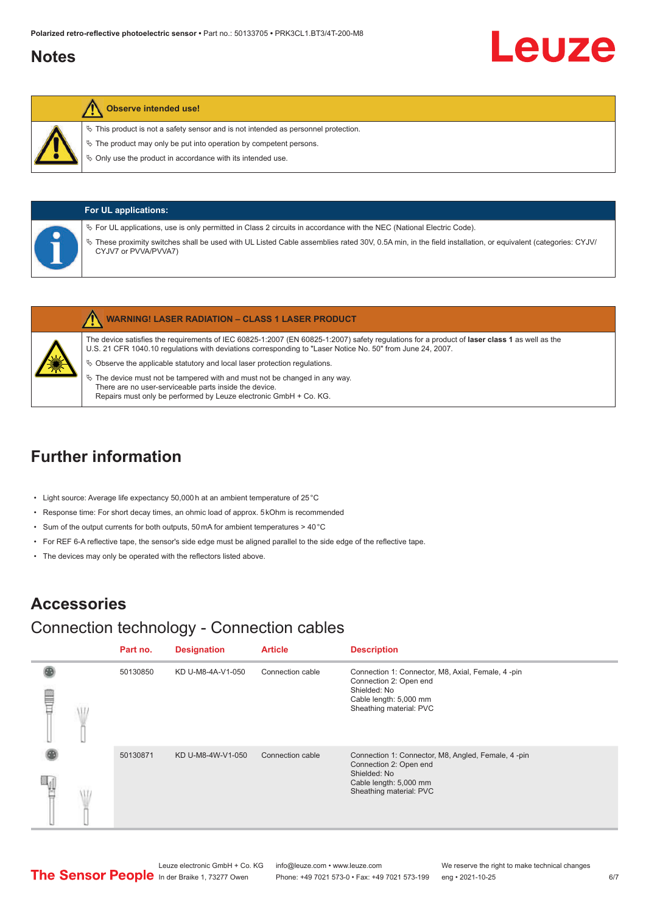#### <span id="page-5-0"></span>**Notes**

# Leuze

#### **Observe intended use!**

- $\%$  This product is not a safety sensor and is not intended as personnel protection.
- $\ddot{\phi}$  The product may only be put into operation by competent persons.
- $\%$  Only use the product in accordance with its intended use.

| <b>For UL applications:</b> |                                                                                                                                                                                                                                                                                                                |  |  |  |
|-----------------------------|----------------------------------------------------------------------------------------------------------------------------------------------------------------------------------------------------------------------------------------------------------------------------------------------------------------|--|--|--|
|                             | $\%$ For UL applications, use is only permitted in Class 2 circuits in accordance with the NEC (National Electric Code).<br>V> These proximity switches shall be used with UL Listed Cable assemblies rated 30V, 0.5A min, in the field installation, or equivalent (categories: CYJV/<br>CYJV7 or PVVA/PVVA7) |  |  |  |

|              | <b>WARNING! LASER RADIATION - CLASS 1 LASER PRODUCT</b>                                                                                                                                                                                                    |
|--------------|------------------------------------------------------------------------------------------------------------------------------------------------------------------------------------------------------------------------------------------------------------|
|              | The device satisfies the requirements of IEC 60825-1:2007 (EN 60825-1:2007) safety requlations for a product of laser class 1 as well as the<br>U.S. 21 CFR 1040.10 regulations with deviations corresponding to "Laser Notice No. 50" from June 24, 2007. |
| <b>Allen</b> | $\%$ Observe the applicable statutory and local laser protection regulations.                                                                                                                                                                              |
|              | M. The deliver accepted to the trace could college and accepted to the computing and construction                                                                                                                                                          |

The device must not be tampered with and must not be changed in any way. There are no user-serviceable parts inside the device. Repairs must only be performed by Leuze electronic GmbH + Co. KG.

## **Further information**

- Light source: Average life expectancy 50,000 h at an ambient temperature of 25 °C
- Response time: For short decay times, an ohmic load of approx. 5 kOhm is recommended
- Sum of the output currents for both outputs, 50 mA for ambient temperatures > 40 °C
- For REF 6-A reflective tape, the sensor's side edge must be aligned parallel to the side edge of the reflective tape.
- The devices may only be operated with the reflectors listed above.

#### **Accessories**

#### Connection technology - Connection cables

|   | Part no. | <b>Designation</b> | <b>Article</b>   | <b>Description</b>                                                                                                                                |
|---|----------|--------------------|------------------|---------------------------------------------------------------------------------------------------------------------------------------------------|
| ŧ | 50130850 | KD U-M8-4A-V1-050  | Connection cable | Connection 1: Connector, M8, Axial, Female, 4-pin<br>Connection 2: Open end<br>Shielded: No<br>Cable length: 5,000 mm<br>Sheathing material: PVC  |
|   | 50130871 | KD U-M8-4W-V1-050  | Connection cable | Connection 1: Connector, M8, Angled, Female, 4-pin<br>Connection 2: Open end<br>Shielded: No<br>Cable length: 5,000 mm<br>Sheathing material: PVC |